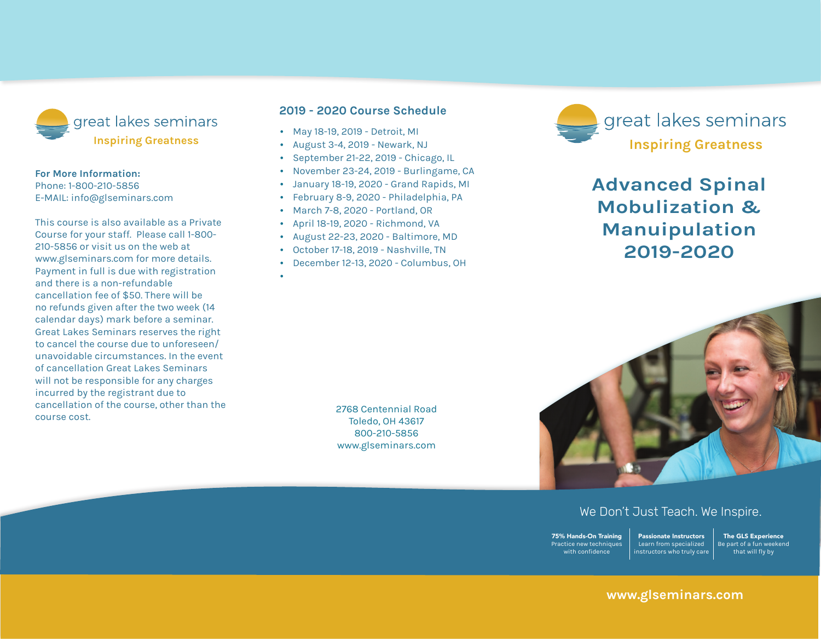

## **For More Information:**

Phone: 1-800-210-5856 E-mail: info@glseminars.com

Payment in full is due with registration and there is a non-refundable cancellation fee of \$50. There will be no refunds given within two weeks (14 calendar days) of the seminar. Great Lakes Seminars reserves the right to cancel the course due to unforeseen/ unavoidable circumstances. In the event of a cancellation Great Lakes Seminars will not be responsible for any charges incurred by the registrant other than the course cost.

This course is also available as a private course for your staff. Please call 800-210-5856 or visit us on the web at www.glseminars.com for more details.

## **2022 Course Schedule**

- April 23-24, 2022 Reno, NV
- September 24-25, 2022 Virginia Beach, VA
- December 3-4, 2022 Lancaster, PA

Please check our website for the most updated schedule: www.glseminars.com



## **Advanced Spinal Mobilization & Manipulation 2022**



## We Don't Just Teach. We Inspire.

75% Hands-On Training Practice new techniques with confidence

Passionate Instructors Learn from specialized instructors who truly care The GLS Experience Be part of a fun weekend that will fly by

## **www.glseminars.com**